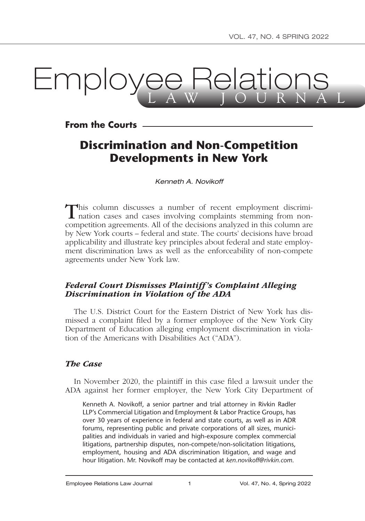# **Lmployee Relation**

**From the Courts**

# **Discrimination and Non-Competition Developments in New York**

*Kenneth A. Novikoff*

This column discusses a number of recent employment discrimi-<br>nation cases and cases involving complaints stemming from noncompetition agreements. All of the decisions analyzed in this column are by New York courts – federal and state. The courts' decisions have broad applicability and illustrate key principles about federal and state employment discrimination laws as well as the enforceability of non-compete agreements under New York law.

# *Federal Court Dismisses Plaintiff's Complaint Alleging Discrimination in Violation of the ADA*

The U.S. District Court for the Eastern District of New York has dismissed a complaint filed by a former employee of the New York City Department of Education alleging employment discrimination in violation of the Americans with Disabilities Act ("ADA").

#### *The Case*

In November 2020, the plaintiff in this case filed a lawsuit under the ADA against her former employer, the New York City Department of

Kenneth A. Novikoff, a senior partner and trial attorney in Rivkin Radler LLP's Commercial Litigation and Employment & Labor Practice Groups, has over 30 years of experience in federal and state courts, as well as in ADR forums, representing public and private corporations of all sizes, municipalities and individuals in varied and high-exposure complex commercial litigations, partnership disputes, non-compete/non-solicitation litigations, employment, housing and ADA discrimination litigation, and wage and hour litigation. Mr. Novikoff may be contacted at *ken.novikoff@rivkin.com*.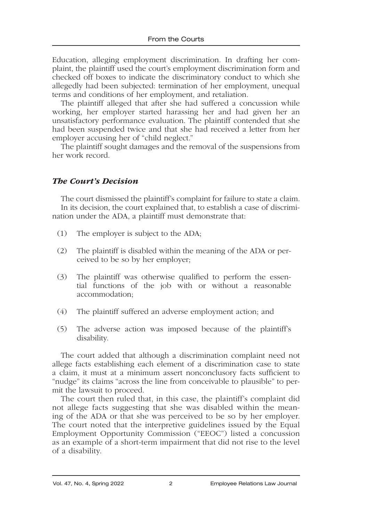Education, alleging employment discrimination. In drafting her complaint, the plaintiff used the court's employment discrimination form and checked off boxes to indicate the discriminatory conduct to which she allegedly had been subjected: termination of her employment, unequal terms and conditions of her employment, and retaliation.

The plaintiff alleged that after she had suffered a concussion while working, her employer started harassing her and had given her an unsatisfactory performance evaluation. The plaintiff contended that she had been suspended twice and that she had received a letter from her employer accusing her of "child neglect."

The plaintiff sought damages and the removal of the suspensions from her work record.

# *The Court's Decision*

The court dismissed the plaintiff's complaint for failure to state a claim. In its decision, the court explained that, to establish a case of discrimination under the ADA, a plaintiff must demonstrate that:

- (1) The employer is subject to the ADA;
- (2) The plaintiff is disabled within the meaning of the ADA or perceived to be so by her employer;
- (3) The plaintiff was otherwise qualified to perform the essential functions of the job with or without a reasonable accommodation;
- (4) The plaintiff suffered an adverse employment action; and
- (5) The adverse action was imposed because of the plaintiff's disability.

The court added that although a discrimination complaint need not allege facts establishing each element of a discrimination case to state a claim, it must at a minimum assert nonconclusory facts sufficient to "nudge" its claims "across the line from conceivable to plausible" to permit the lawsuit to proceed.

The court then ruled that, in this case, the plaintiff's complaint did not allege facts suggesting that she was disabled within the meaning of the ADA or that she was perceived to be so by her employer. The court noted that the interpretive guidelines issued by the Equal Employment Opportunity Commission ("EEOC") listed a concussion as an example of a short-term impairment that did not rise to the level of a disability.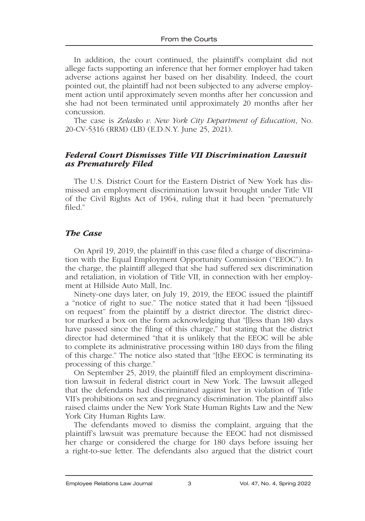In addition, the court continued, the plaintiff's complaint did not allege facts supporting an inference that her former employer had taken adverse actions against her based on her disability. Indeed, the court pointed out, the plaintiff had not been subjected to any adverse employment action until approximately seven months after her concussion and she had not been terminated until approximately 20 months after her concussion.

The case is *Zelasko v. New York City Department of Education*, No. 20-CV-5316 (RRM) (LB) (E.D.N.Y. June 25, 2021).

#### *Federal Court Dismisses Title VII Discrimination Lawsuit as Prematurely Filed*

The U.S. District Court for the Eastern District of New York has dismissed an employment discrimination lawsuit brought under Title VII of the Civil Rights Act of 1964, ruling that it had been "prematurely filed."

#### *The Case*

On April 19, 2019, the plaintiff in this case filed a charge of discrimination with the Equal Employment Opportunity Commission ("EEOC"). In the charge, the plaintiff alleged that she had suffered sex discrimination and retaliation, in violation of Title VII, in connection with her employment at Hillside Auto Mall, Inc.

Ninety-one days later, on July 19, 2019, the EEOC issued the plaintiff a "notice of right to sue." The notice stated that it had been "[i]ssued on request" from the plaintiff by a district director. The district director marked a box on the form acknowledging that "[l]ess than 180 days have passed since the filing of this charge," but stating that the district director had determined "that it is unlikely that the EEOC will be able to complete its administrative processing within 180 days from the filing of this charge." The notice also stated that "[t]he EEOC is terminating its processing of this charge."

On September 25, 2019, the plaintiff filed an employment discrimination lawsuit in federal district court in New York. The lawsuit alleged that the defendants had discriminated against her in violation of Title VII's prohibitions on sex and pregnancy discrimination. The plaintiff also raised claims under the New York State Human Rights Law and the New York City Human Rights Law.

The defendants moved to dismiss the complaint, arguing that the plaintiff's lawsuit was premature because the EEOC had not dismissed her charge or considered the charge for 180 days before issuing her a right-to-sue letter. The defendants also argued that the district court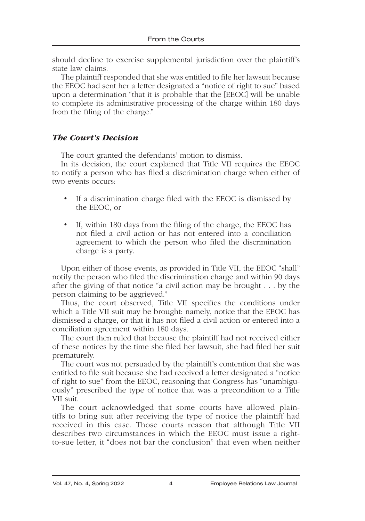should decline to exercise supplemental jurisdiction over the plaintiff's state law claims.

The plaintiff responded that she was entitled to file her lawsuit because the EEOC had sent her a letter designated a "notice of right to sue" based upon a determination "that it is probable that the [EEOC] will be unable to complete its administrative processing of the charge within 180 days from the filing of the charge."

# *The Court's Decision*

The court granted the defendants' motion to dismiss.

In its decision, the court explained that Title VII requires the EEOC to notify a person who has filed a discrimination charge when either of two events occurs:

- If a discrimination charge filed with the EEOC is dismissed by the EEOC, or
- If, within 180 days from the filing of the charge, the EEOC has not filed a civil action or has not entered into a conciliation agreement to which the person who filed the discrimination charge is a party.

Upon either of those events, as provided in Title VII, the EEOC "shall" notify the person who filed the discrimination charge and within 90 days after the giving of that notice "a civil action may be brought . . . by the person claiming to be aggrieved."

Thus, the court observed, Title VII specifies the conditions under which a Title VII suit may be brought: namely, notice that the EEOC has dismissed a charge, or that it has not filed a civil action or entered into a conciliation agreement within 180 days.

The court then ruled that because the plaintiff had not received either of these notices by the time she filed her lawsuit, she had filed her suit prematurely.

The court was not persuaded by the plaintiff's contention that she was entitled to file suit because she had received a letter designated a "notice of right to sue" from the EEOC, reasoning that Congress has "unambiguously" prescribed the type of notice that was a precondition to a Title VII suit.

The court acknowledged that some courts have allowed plaintiffs to bring suit after receiving the type of notice the plaintiff had received in this case. Those courts reason that although Title VII describes two circumstances in which the EEOC must issue a rightto-sue letter, it "does not bar the conclusion" that even when neither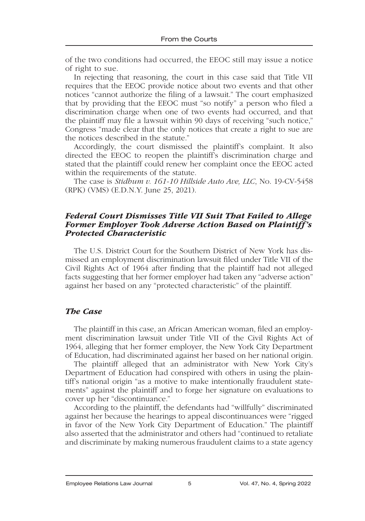of the two conditions had occurred, the EEOC still may issue a notice of right to sue.

In rejecting that reasoning, the court in this case said that Title VII requires that the EEOC provide notice about two events and that other notices "cannot authorize the filing of a lawsuit." The court emphasized that by providing that the EEOC must "so notify" a person who filed a discrimination charge when one of two events had occurred, and that the plaintiff may file a lawsuit within 90 days of receiving "such notice," Congress "made clear that the only notices that create a right to sue are the notices described in the statute."

Accordingly, the court dismissed the plaintiff's complaint. It also directed the EEOC to reopen the plaintiff's discrimination charge and stated that the plaintiff could renew her complaint once the EEOC acted within the requirements of the statute.

The case is *Stidhum v. 161-10 Hillside Auto Ave, LLC*, No. 19-CV-5458 (RPK) (VMS) (E.D.N.Y. June 25, 2021).

#### *Federal Court Dismisses Title VII Suit That Failed to Allege Former Employer Took Adverse Action Based on Plaintiff's Protected Characteristic*

The U.S. District Court for the Southern District of New York has dismissed an employment discrimination lawsuit filed under Title VII of the Civil Rights Act of 1964 after finding that the plaintiff had not alleged facts suggesting that her former employer had taken any "adverse action" against her based on any "protected characteristic" of the plaintiff.

#### *The Case*

The plaintiff in this case, an African American woman, filed an employment discrimination lawsuit under Title VII of the Civil Rights Act of 1964, alleging that her former employer, the New York City Department of Education, had discriminated against her based on her national origin.

The plaintiff alleged that an administrator with New York City's Department of Education had conspired with others in using the plaintiff's national origin "as a motive to make intentionally fraudulent statements" against the plaintiff and to forge her signature on evaluations to cover up her "discontinuance."

According to the plaintiff, the defendants had "willfully" discriminated against her because the hearings to appeal discontinuances were "rigged in favor of the New York City Department of Education." The plaintiff also asserted that the administrator and others had "continued to retaliate and discriminate by making numerous fraudulent claims to a state agency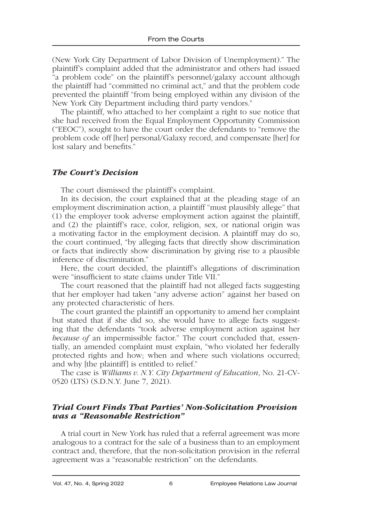(New York City Department of Labor Division of Unemployment)." The plaintiff's complaint added that the administrator and others had issued "a problem code" on the plaintiff's personnel/galaxy account although the plaintiff had "committed no criminal act," and that the problem code prevented the plaintiff "from being employed within any division of the New York City Department including third party vendors."

The plaintiff, who attached to her complaint a right to sue notice that she had received from the Equal Employment Opportunity Commission ("EEOC"), sought to have the court order the defendants to "remove the problem code off [her] personal/Galaxy record, and compensate [her] for lost salary and benefits."

#### *The Court's Decision*

The court dismissed the plaintiff's complaint.

In its decision, the court explained that at the pleading stage of an employment discrimination action, a plaintiff "must plausibly allege" that (1) the employer took adverse employment action against the plaintiff, and (2) the plaintiff's race, color, religion, sex, or national origin was a motivating factor in the employment decision. A plaintiff may do so, the court continued, "by alleging facts that directly show discrimination or facts that indirectly show discrimination by giving rise to a plausible inference of discrimination."

Here, the court decided, the plaintiff's allegations of discrimination were "insufficient to state claims under Title VII."

The court reasoned that the plaintiff had not alleged facts suggesting that her employer had taken "any adverse action" against her based on any protected characteristic of hers.

The court granted the plaintiff an opportunity to amend her complaint but stated that if she did so, she would have to allege facts suggesting that the defendants "took adverse employment action against her *because of* an impermissible factor." The court concluded that, essentially, an amended complaint must explain, "who violated her federally protected rights and how; when and where such violations occurred; and why [the plaintiff] is entitled to relief."

The case is *Williams v. N.Y. City Department of Education*, No. 21-CV-0520 (LTS) (S.D.N.Y. June 7, 2021).

#### *Trial Court Finds That Parties' Non-Solicitation Provision was a "Reasonable Restriction"*

A trial court in New York has ruled that a referral agreement was more analogous to a contract for the sale of a business than to an employment contract and, therefore, that the non-solicitation provision in the referral agreement was a "reasonable restriction" on the defendants.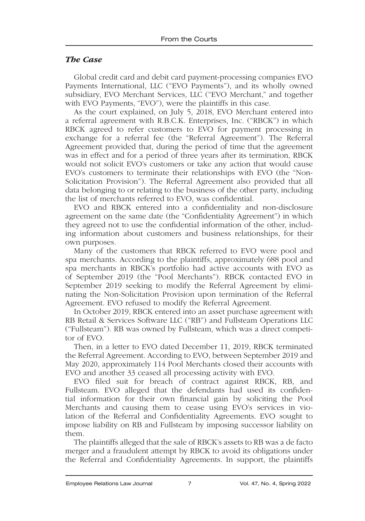#### *The Case*

Global credit card and debit card payment-processing companies EVO Payments International, LLC ("EVO Payments"), and its wholly owned subsidiary, EVO Merchant Services, LLC ("EVO Merchant," and together with EVO Payments, "EVO"), were the plaintiffs in this case.

As the court explained, on July 5, 2018, EVO Merchant entered into a referral agreement with R.B.C.K. Enterprises, Inc. ("RBCK") in which RBCK agreed to refer customers to EVO for payment processing in exchange for a referral fee (the "Referral Agreement"). The Referral Agreement provided that, during the period of time that the agreement was in effect and for a period of three years after its termination, RBCK would not solicit EVO's customers or take any action that would cause EVO's customers to terminate their relationships with EVO (the "Non-Solicitation Provision"). The Referral Agreement also provided that all data belonging to or relating to the business of the other party, including the list of merchants referred to EVO, was confidential.

EVO and RBCK entered into a confidentiality and non-disclosure agreement on the same date (the "Confidentiality Agreement") in which they agreed not to use the confidential information of the other, including information about customers and business relationships, for their own purposes.

Many of the customers that RBCK referred to EVO were pool and spa merchants. According to the plaintiffs, approximately 688 pool and spa merchants in RBCK's portfolio had active accounts with EVO as of September 2019 (the "Pool Merchants"). RBCK contacted EVO in September 2019 seeking to modify the Referral Agreement by eliminating the Non-Solicitation Provision upon termination of the Referral Agreement. EVO refused to modify the Referral Agreement.

In October 2019, RBCK entered into an asset purchase agreement with RB Retail & Services Software LLC ("RB") and Fullsteam Operations LLC ("Fullsteam"). RB was owned by Fullsteam, which was a direct competitor of EVO.

Then, in a letter to EVO dated December 11, 2019, RBCK terminated the Referral Agreement. According to EVO, between September 2019 and May 2020, approximately 114 Pool Merchants closed their accounts with EVO and another 33 ceased all processing activity with EVO.

EVO filed suit for breach of contract against RBCK, RB, and Fullsteam. EVO alleged that the defendants had used its confidential information for their own financial gain by soliciting the Pool Merchants and causing them to cease using EVO's services in violation of the Referral and Confidentiality Agreements. EVO sought to impose liability on RB and Fullsteam by imposing successor liability on them.

The plaintiffs alleged that the sale of RBCK's assets to RB was a de facto merger and a fraudulent attempt by RBCK to avoid its obligations under the Referral and Confidentiality Agreements. In support, the plaintiffs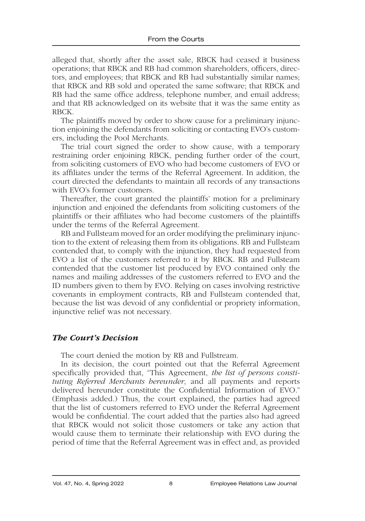alleged that, shortly after the asset sale, RBCK had ceased it business operations; that RBCK and RB had common shareholders, officers, directors, and employees; that RBCK and RB had substantially similar names; that RBCK and RB sold and operated the same software; that RBCK and RB had the same office address, telephone number, and email address; and that RB acknowledged on its website that it was the same entity as RBCK.

The plaintiffs moved by order to show cause for a preliminary injunction enjoining the defendants from soliciting or contacting EVO's customers, including the Pool Merchants.

The trial court signed the order to show cause, with a temporary restraining order enjoining RBCK, pending further order of the court, from soliciting customers of EVO who had become customers of EVO or its affiliates under the terms of the Referral Agreement. In addition, the court directed the defendants to maintain all records of any transactions with EVO's former customers.

Thereafter, the court granted the plaintiffs' motion for a preliminary injunction and enjoined the defendants from soliciting customers of the plaintiffs or their affiliates who had become customers of the plaintiffs under the terms of the Referral Agreement.

RB and Fullsteam moved for an order modifying the preliminary injunction to the extent of releasing them from its obligations. RB and Fullsteam contended that, to comply with the injunction, they had requested from EVO a list of the customers referred to it by RBCK. RB and Fullsteam contended that the customer list produced by EVO contained only the names and mailing addresses of the customers referred to EVO and the ID numbers given to them by EVO. Relying on cases involving restrictive covenants in employment contracts, RB and Fullsteam contended that, because the list was devoid of any confidential or propriety information, injunctive relief was not necessary.

# *The Court's Decision*

The court denied the motion by RB and Fullstream.

In its decision, the court pointed out that the Referral Agreement specifically provided that, "This Agreement, *the list of persons constituting Referred Merchants hereunder*, and all payments and reports delivered hereunder constitute the Confidential Information of EVO." (Emphasis added.) Thus, the court explained, the parties had agreed that the list of customers referred to EVO under the Referral Agreement would be confidential. The court added that the parties also had agreed that RBCK would not solicit those customers or take any action that would cause them to terminate their relationship with EVO during the period of time that the Referral Agreement was in effect and, as provided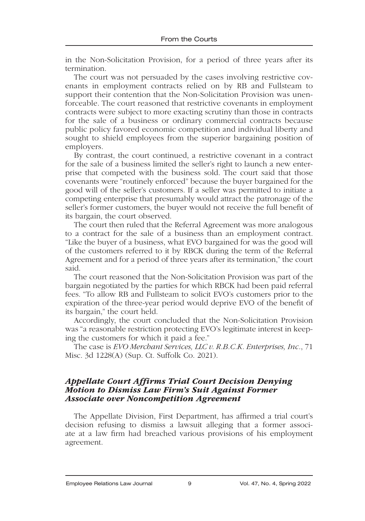in the Non-Solicitation Provision, for a period of three years after its termination.

The court was not persuaded by the cases involving restrictive covenants in employment contracts relied on by RB and Fullsteam to support their contention that the Non-Solicitation Provision was unenforceable. The court reasoned that restrictive covenants in employment contracts were subject to more exacting scrutiny than those in contracts for the sale of a business or ordinary commercial contracts because public policy favored economic competition and individual liberty and sought to shield employees from the superior bargaining position of employers.

By contrast, the court continued, a restrictive covenant in a contract for the sale of a business limited the seller's right to launch a new enterprise that competed with the business sold. The court said that those covenants were "routinely enforced" because the buyer bargained for the good will of the seller's customers. If a seller was permitted to initiate a competing enterprise that presumably would attract the patronage of the seller's former customers, the buyer would not receive the full benefit of its bargain, the court observed.

The court then ruled that the Referral Agreement was more analogous to a contract for the sale of a business than an employment contract. "Like the buyer of a business, what EVO bargained for was the good will of the customers referred to it by RBCK during the term of the Referral Agreement and for a period of three years after its termination," the court said.

The court reasoned that the Non-Solicitation Provision was part of the bargain negotiated by the parties for which RBCK had been paid referral fees. "To allow RB and Fullsteam to solicit EVO's customers prior to the expiration of the three-year period would deprive EVO of the benefit of its bargain," the court held.

Accordingly, the court concluded that the Non-Solicitation Provision was "a reasonable restriction protecting EVO's legitimate interest in keeping the customers for which it paid a fee."

The case is *EVO Merchant Services, LLC v. R.B.C.K. Enterprises, Inc.*, 71 Misc. 3d 1228(A) (Sup. Ct. Suffolk Co. 2021).

#### *Appellate Court Affirms Trial Court Decision Denying Motion to Dismiss Law Firm's Suit Against Former Associate over Noncompetition Agreement*

The Appellate Division, First Department, has affirmed a trial court's decision refusing to dismiss a lawsuit alleging that a former associate at a law firm had breached various provisions of his employment agreement.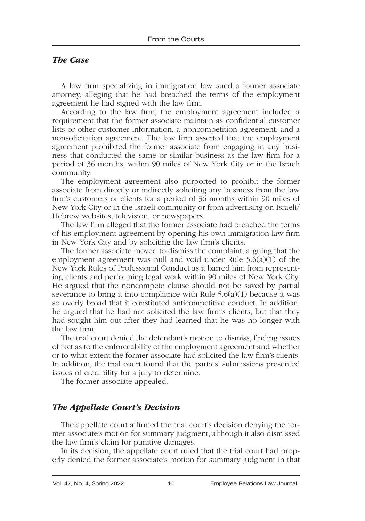#### *The Case*

A law firm specializing in immigration law sued a former associate attorney, alleging that he had breached the terms of the employment agreement he had signed with the law firm.

According to the law firm, the employment agreement included a requirement that the former associate maintain as confidential customer lists or other customer information, a noncompetition agreement, and a nonsolicitation agreement. The law firm asserted that the employment agreement prohibited the former associate from engaging in any business that conducted the same or similar business as the law firm for a period of 36 months, within 90 miles of New York City or in the Israeli community.

The employment agreement also purported to prohibit the former associate from directly or indirectly soliciting any business from the law firm's customers or clients for a period of 36 months within 90 miles of New York City or in the Israeli community or from advertising on Israeli/ Hebrew websites, television, or newspapers.

The law firm alleged that the former associate had breached the terms of his employment agreement by opening his own immigration law firm in New York City and by soliciting the law firm's clients.

The former associate moved to dismiss the complaint, arguing that the employment agreement was null and void under Rule 5.6(a)(1) of the New York Rules of Professional Conduct as it barred him from representing clients and performing legal work within 90 miles of New York City. He argued that the noncompete clause should not be saved by partial severance to bring it into compliance with Rule  $5.6(a)(1)$  because it was so overly broad that it constituted anticompetitive conduct. In addition, he argued that he had not solicited the law firm's clients, but that they had sought him out after they had learned that he was no longer with the law firm.

The trial court denied the defendant's motion to dismiss, finding issues of fact as to the enforceability of the employment agreement and whether or to what extent the former associate had solicited the law firm's clients. In addition, the trial court found that the parties' submissions presented issues of credibility for a jury to determine.

The former associate appealed.

# *The Appellate Court's Decision*

The appellate court affirmed the trial court's decision denying the former associate's motion for summary judgment, although it also dismissed the law firm's claim for punitive damages.

In its decision, the appellate court ruled that the trial court had properly denied the former associate's motion for summary judgment in that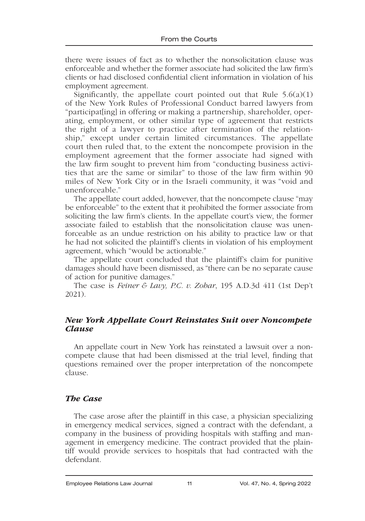there were issues of fact as to whether the nonsolicitation clause was enforceable and whether the former associate had solicited the law firm's clients or had disclosed confidential client information in violation of his employment agreement.

Significantly, the appellate court pointed out that Rule  $5.6(a)(1)$ of the New York Rules of Professional Conduct barred lawyers from "participat[ing] in offering or making a partnership, shareholder, operating, employment, or other similar type of agreement that restricts the right of a lawyer to practice after termination of the relationship," except under certain limited circumstances. The appellate court then ruled that, to the extent the noncompete provision in the employment agreement that the former associate had signed with the law firm sought to prevent him from "conducting business activities that are the same or similar" to those of the law firm within 90 miles of New York City or in the Israeli community, it was "void and unenforceable."

The appellate court added, however, that the noncompete clause "may be enforceable" to the extent that it prohibited the former associate from soliciting the law firm's clients. In the appellate court's view, the former associate failed to establish that the nonsolicitation clause was unenforceable as an undue restriction on his ability to practice law or that he had not solicited the plaintiff's clients in violation of his employment agreement, which "would be actionable."

The appellate court concluded that the plaintiff's claim for punitive damages should have been dismissed, as "there can be no separate cause of action for punitive damages."

The case is *Feiner & Lavy, P.C. v. Zohar*, 195 A.D.3d 411 (1st Dep't 2021).

# *New York Appellate Court Reinstates Suit over Noncompete Clause*

An appellate court in New York has reinstated a lawsuit over a noncompete clause that had been dismissed at the trial level, finding that questions remained over the proper interpretation of the noncompete clause.

#### *The Case*

The case arose after the plaintiff in this case, a physician specializing in emergency medical services, signed a contract with the defendant, a company in the business of providing hospitals with staffing and management in emergency medicine. The contract provided that the plaintiff would provide services to hospitals that had contracted with the defendant.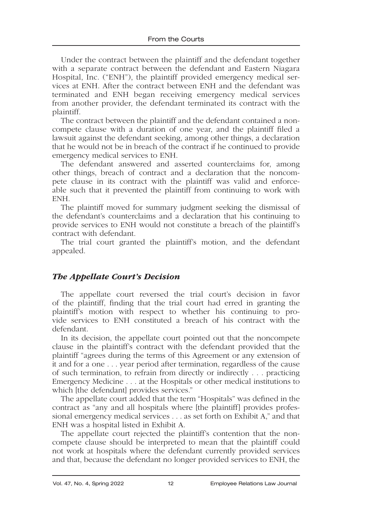Under the contract between the plaintiff and the defendant together with a separate contract between the defendant and Eastern Niagara Hospital, Inc. ("ENH"), the plaintiff provided emergency medical services at ENH. After the contract between ENH and the defendant was terminated and ENH began receiving emergency medical services from another provider, the defendant terminated its contract with the plaintiff.

The contract between the plaintiff and the defendant contained a noncompete clause with a duration of one year, and the plaintiff filed a lawsuit against the defendant seeking, among other things, a declaration that he would not be in breach of the contract if he continued to provide emergency medical services to ENH.

The defendant answered and asserted counterclaims for, among other things, breach of contract and a declaration that the noncompete clause in its contract with the plaintiff was valid and enforceable such that it prevented the plaintiff from continuing to work with ENH.

The plaintiff moved for summary judgment seeking the dismissal of the defendant's counterclaims and a declaration that his continuing to provide services to ENH would not constitute a breach of the plaintiff's contract with defendant.

The trial court granted the plaintiff's motion, and the defendant appealed.

# *The Appellate Court's Decision*

The appellate court reversed the trial court's decision in favor of the plaintiff, finding that the trial court had erred in granting the plaintiff's motion with respect to whether his continuing to provide services to ENH constituted a breach of his contract with the defendant.

In its decision, the appellate court pointed out that the noncompete clause in the plaintiff's contract with the defendant provided that the plaintiff "agrees during the terms of this Agreement or any extension of it and for a one . . . year period after termination, regardless of the cause of such termination, to refrain from directly or indirectly . . . practicing Emergency Medicine . . . at the Hospitals or other medical institutions to which [the defendant] provides services."

The appellate court added that the term "Hospitals" was defined in the contract as "any and all hospitals where [the plaintiff] provides professional emergency medical services . . . as set forth on Exhibit A," and that ENH was a hospital listed in Exhibit A.

The appellate court rejected the plaintiff's contention that the noncompete clause should be interpreted to mean that the plaintiff could not work at hospitals where the defendant currently provided services and that, because the defendant no longer provided services to ENH, the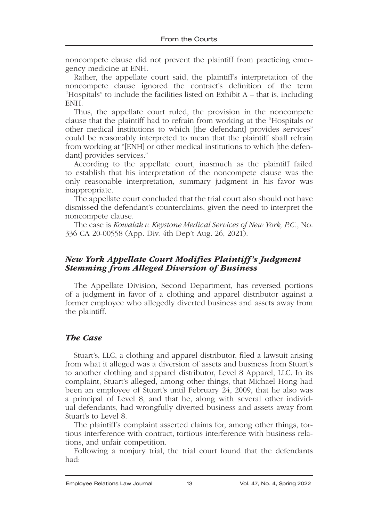noncompete clause did not prevent the plaintiff from practicing emergency medicine at ENH.

Rather, the appellate court said, the plaintiff's interpretation of the noncompete clause ignored the contract's definition of the term "Hospitals" to include the facilities listed on Exhibit A – that is, including ENH.

Thus, the appellate court ruled, the provision in the noncompete clause that the plaintiff had to refrain from working at the "Hospitals or other medical institutions to which [the defendant] provides services" could be reasonably interpreted to mean that the plaintiff shall refrain from working at "[ENH] or other medical institutions to which [the defendant] provides services."

According to the appellate court, inasmuch as the plaintiff failed to establish that his interpretation of the noncompete clause was the only reasonable interpretation, summary judgment in his favor was inappropriate.

The appellate court concluded that the trial court also should not have dismissed the defendant's counterclaims, given the need to interpret the noncompete clause.

The case is *Kowalak v. Keystone Medical Services of New York, P.C.*, No. 336 CA 20-00558 (App. Div. 4th Dep't Aug. 26, 2021).

# *New York Appellate Court Modifies Plaintiff's Judgment Stemming from Alleged Diversion of Business*

The Appellate Division, Second Department, has reversed portions of a judgment in favor of a clothing and apparel distributor against a former employee who allegedly diverted business and assets away from the plaintiff.

# *The Case*

Stuart's, LLC, a clothing and apparel distributor, filed a lawsuit arising from what it alleged was a diversion of assets and business from Stuart's to another clothing and apparel distributor, Level 8 Apparel, LLC. In its complaint, Stuart's alleged, among other things, that Michael Hong had been an employee of Stuart's until February 24, 2009, that he also was a principal of Level 8, and that he, along with several other individual defendants, had wrongfully diverted business and assets away from Stuart's to Level 8.

The plaintiff's complaint asserted claims for, among other things, tortious interference with contract, tortious interference with business relations, and unfair competition.

Following a nonjury trial, the trial court found that the defendants had: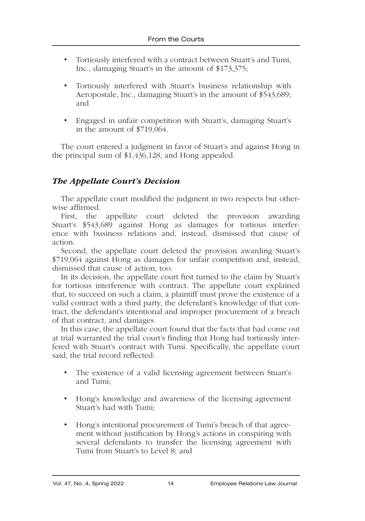- Tortiously interfered with a contract between Stuart's and Tumi, Inc., damaging Stuart's in the amount of \$173,375;
- Tortiously interfered with Stuart's business relationship with Aeropostale, Inc., damaging Stuart's in the amount of \$543,689; and
- Engaged in unfair competition with Stuart's, damaging Stuart's in the amount of \$719,064.

The court entered a judgment in favor of Stuart's and against Hong in the principal sum of \$1,436,128, and Hong appealed.

# *The Appellate Court's Decision*

The appellate court modified the judgment in two respects but otherwise affirmed.

First, the appellate court deleted the provision awarding Stuart's \$543,689 against Hong as damages for tortious interference with business relations and, instead, dismissed that cause of action.

Second, the appellate court deleted the provision awarding Stuart's \$719,064 against Hong as damages for unfair competition and, instead, dismissed that cause of action, too.

In its decision, the appellate court first turned to the claim by Stuart's for tortious interference with contract. The appellate court explained that, to succeed on such a claim, a plaintiff must prove the existence of a valid contract with a third party, the defendant's knowledge of that contract, the defendant's intentional and improper procurement of a breach of that contract, and damages.

In this case, the appellate court found that the facts that had come out at trial warranted the trial court's finding that Hong had tortiously interfered with Stuart's contract with Tumi. Specifically, the appellate court said, the trial record reflected:

- The existence of a valid licensing agreement between Stuart's and Tumi;
- Hong's knowledge and awareness of the licensing agreement Stuart's had with Tumi;
- Hong's intentional procurement of Tumi's breach of that agreement without justification by Hong's actions in conspiring with several defendants to transfer the licensing agreement with Tumi from Stuart's to Level 8; and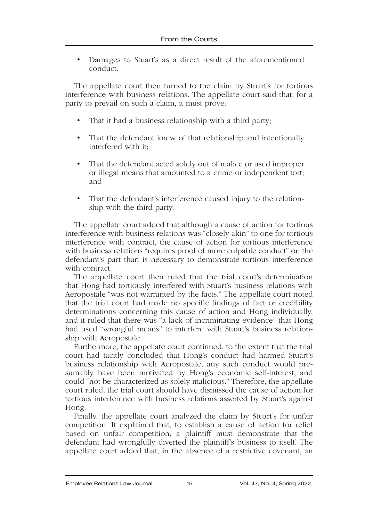• Damages to Stuart's as a direct result of the aforementioned conduct.

The appellate court then turned to the claim by Stuart's for tortious interference with business relations. The appellate court said that, for a party to prevail on such a claim, it must prove:

- That it had a business relationship with a third party;
- That the defendant knew of that relationship and intentionally interfered with it;
- That the defendant acted solely out of malice or used improper or illegal means that amounted to a crime or independent tort; and
- That the defendant's interference caused injury to the relationship with the third party.

The appellate court added that although a cause of action for tortious interference with business relations was "closely akin" to one for tortious interference with contract, the cause of action for tortious interference with business relations "requires proof of more culpable conduct" on the defendant's part than is necessary to demonstrate tortious interference with contract.

The appellate court then ruled that the trial court's determination that Hong had tortiously interfered with Stuart's business relations with Aeropostale "was not warranted by the facts." The appellate court noted that the trial court had made no specific findings of fact or credibility determinations concerning this cause of action and Hong individually, and it ruled that there was "a lack of incriminating evidence" that Hong had used "wrongful means" to interfere with Stuart's business relationship with Aeropostale.

Furthermore, the appellate court continued, to the extent that the trial court had tacitly concluded that Hong's conduct had harmed Stuart's business relationship with Aeropostale, any such conduct would presumably have been motivated by Hong's economic self-interest, and could "not be characterized as solely malicious." Therefore, the appellate court ruled, the trial court should have dismissed the cause of action for tortious interference with business relations asserted by Stuart's against Hong.

Finally, the appellate court analyzed the claim by Stuart's for unfair competition. It explained that, to establish a cause of action for relief based on unfair competition, a plaintiff must demonstrate that the defendant had wrongfully diverted the plaintiff's business to itself. The appellate court added that, in the absence of a restrictive covenant, an